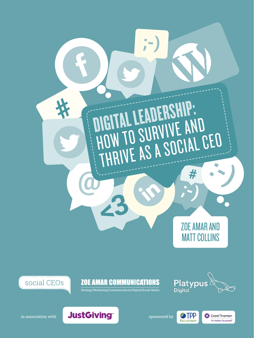



**ZOE AMAR COMMUNICATIONS** 

Strategy|Marketing|Communications|Digital|Social Media



Grant Thornton

An instinct for growth<sup>"</sup>

**S**TPP

Recruitment



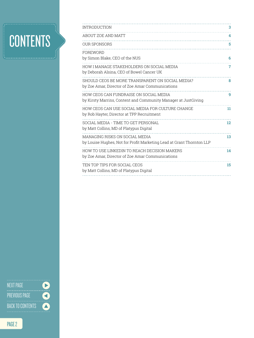## **CONTENTS**

| <b>INTRODUCTION</b>                                                                                      | 3  |
|----------------------------------------------------------------------------------------------------------|----|
| ABOUT ZOE AND MATT                                                                                       | 4  |
| <b>OUR SPONSORS</b>                                                                                      | 5  |
| FOREWORD<br>by Simon Blake, CEO of the NUS                                                               | 6  |
| HOW I MANAGE STAKEHOLDERS ON SOCIAL MEDIA<br>by Deborah Alsina, CEO of Bowel Cancer UK                   | 7  |
| SHOULD CEOS BE MORE TRANSPARENT ON SOCIAL MEDIA?<br>by Zoe Amar, Director of Zoe Amar Communications     | 8  |
| HOW CEOS CAN FUNDRAISE ON SOCIAL MEDIA<br>by Kirsty Marrins, Content and Community Manager at JustGiving | 9  |
| HOW CEOS CAN USE SOCIAL MEDIA FOR CULTURE CHANGE<br>by Rob Hayter, Director at TPP Recruitment           | 11 |
| SOCIAL MEDIA - TIME TO GET PERSONAL<br>by Matt Collins, MD of Platypus Digital                           | 12 |
| MANAGING RISKS ON SOCIAL MEDIA<br>by Louise Hughes, Not for Profit Marketing Lead at Grant Thornton LLP  | 13 |
| HOW TO USE LINKEDIN TO REACH DECISION MAKERS<br>by Zoe Amar, Director of Zoe Amar Communications         | 14 |
| TEN TOP TIPS FOR SOCIAL CEOS<br>by Matt Collins, MD of Platypus Digital                                  | 15 |
|                                                                                                          |    |

BACK TO CONTENTS PREVIOUS PAGE NEXT PAGE

 $\bullet$ 

 $\ddot{\bullet}$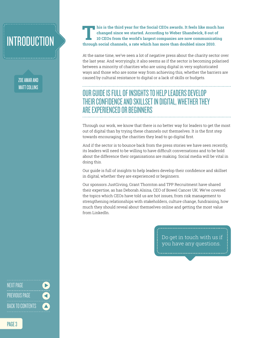### <span id="page-2-0"></span>INTRODUCTION

ZOE AMAR AND MATT COLLINS

**This is the third year for the Social CEOs awards. It feels like much has changed since we started. According to Weber Shandwick, 8 out of 10 CEOs from the world's largest companies are now communicating through social channels, a rate which has more than doubled since 2010.** 

At the same time, we've seen a lot of negative press about the charity sector over the last year. And worryingly, it also seems as if the sector is becoming polarised between a minority of charities who are using digital in very sophisticated ways and those who are some way from achieving this, whether the barriers are caused by cultural resistance to digital or a lack of skills or budgets.

### OUR GUIDE IS FULL OF INSIGHTS TO HELP LEADERS DEVELOP THEIR CONFIDENCE AND SKILLSET IN DIGITAL, WHETHER THEY ARE EXPERIENCED OR BEGINNERS

Through our work, we know that there is no better way for leaders to get the most out of digital than by trying these channels out themselves. It is the first step towards encouraging the charities they lead to go digital first.

And if the sector is to bounce back from the press stories we have seen recently, its leaders will need to be willing to have difficult conversations and to be bold about the difference their organisations are making. Social media will be vital in doing this.

Our guide is full of insights to help leaders develop their confidence and skillset in digital, whether they are experienced or beginners.

Our sponsors JustGiving, Grant Thornton and TPP Recruitment have shared their expertise, as has Deborah Alsina, CEO of Bowel Cancer UK. We've covered the topics which CEOs have told us are hot issues, from risk management to strengthening relationships with stakeholders, culture change, fundraising, how much they should reveal about themselves online and getting the most value from LinkedIn.

> Do get in touch with us if you have any questions.

NEXT PAGE<br>-------------------<br>PREVIOUS PAGE<br>------------------<br>BACK TO CONTENTS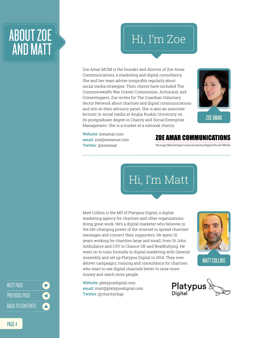### <span id="page-3-0"></span>ABOUT ZOE AND MATT AND MATT

Zoe Amar MCIM is the founder and director of Zoe Amar Communications, a marketing and digital consultancy. She and her team advise nonprofits regularly about social media strategies. Their clients have included The Commonwealth War Graves Commission, ActionAid, and Crimestoppers. Zoe writes for The Guardian Voluntary Sector Network about charities and digital communications and sits on their advisory panel. She is also an associate lecturer in social media at Anglia Ruskin University on its postgraduate degree in Charity and Social Enterprise Management. She is a trustee of a national charity.



**Website:** [zoeamar.com](http://zoeamar.com/) **email:** [zoe@zoeamar.com](mailto:zoe@zoeamar.com) **Twitter:** @zoeamar

#### **ZOE AMAR COMMUNICATIONS**

Strategy|Marketing|Communications|Digital|Social Media



Matt Collins is the MD of Platypus Digital, a digital marketing agency for charities and other organisations doing great work. He's a digital marketer who believes in the life-changing power of the internet to spread charities' messages and connect their supporters. He spent 10 years working for charities large and small, from St John Ambulance and CSV to Chance UK and BeatBullying. He went on to train formally in digital marketing with General Assembly and set up Platypus Digital in 2014. They now deliver campaigns, training and consultancy for charities who want to use digital channels better to raise more money and reach more people.

**Website:** [platypusdigital.com](http://www.platypusdigital.com/) **email:** [matt@platypusdigital.com](mailto:matt@platypusdigital.com) **Twitter:** @charitychap



MATT COLLINS



NEXT PAGE<br>-------------------<br>PREVIOUS PAGE<br>-------------------<br>BACK TO CONTENTS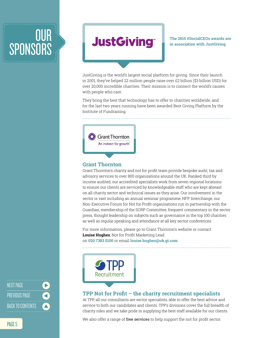## <span id="page-4-0"></span>**OUR** SPONSORS



**The 2015 #SocialCEOs awards are in association with JustGiving**

JustGiving is the world's largest social platform for giving. Since their launch in 2001, they've helped 22 million people raise over £2 billion (\$3 billion USD) for over 20,000 incredible charities. Their mission is to connect the world's causes with people who care.

They bring the best that technology has to offer to charities worldwide, and for the last two years running have been awarded Best Giving Platform by the Institute of Fundraising.



#### **Grant Thornton**

Grant Thornton's charity and not for profit team provide bespoke audit, tax and advisory services to over 800 organisations around the UK. Ranked third by income audited, our accredited specialists work from seven regional locations to ensure our clients are serviced by knowledgeable staff who are kept abreast on all charity sector and technical issues as they arise. Our involvement in the sector is vast including an annual seminar programme, NFP Interchange, our Non-Executive Forum for Not for Profit organisations run in partnership with the Guardian, membership of the SORP Committee, frequent commentary in the sector press, thought leadership on subjects such as governance in the top 100 charities as well as regular speaking and attendance at all key sector conferences.

For more information, please go to Grant Thornton's website or contact **Louise Hughes**, Not for Profit Marketing Lead on **020 7383 5100** or email **[louise.hughes@uk.gt.com](mailto:louise.hughes@uk.gt.com)**



#### **TPP Not for Profit – the charity recruitment specialists**

At TPP, all our consultants are sector specialists, able to offer the best advice and service to both our candidates and clients. TPP's divisions cover the full breadth of charity roles and we take pride in supplying the best staff available for our clients.

We also offer a range of [free services](http://www.tpp.co.uk/tpp-giving-back) to help support the not for profit sector.

NEXT PAGE<br>-------------------<br>PREVIOUS PAGE<br>-------------------<br>BACK TO CONTENTS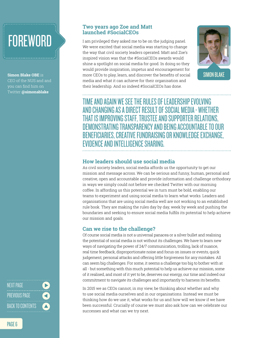## <span id="page-5-0"></span>**FOREWORD**

**Simon Blake OBE** is CEO of the NUS and and you can find him on Twitter **@simonablake**

#### **Two years ago Zoe and Matt launched #SocialCEOs**

I am privileged they asked me to be on the judging panel. We were excited that social media was starting to change the way that civil society leaders operated. Matt and Zoe's inspired vision was that the #SocialCEOs awards would shine a spotlight on social media for good. In doing so they would provide inspiration, impetus and encouragement for more CEOs to play, learn, and discover the benefits of social media and what it can achieve for their organisation and their leadership. And so indeed #SocialCEOs has done.



TIME AND AGAIN WE SEE THE RULES OF LEADERSHIP EVOLVING AND CHANGING AS A DIRECT RESULT OF SOCIAL MEDIA - WHETHER THAT IS IMPROVING STAFF, TRUSTEE AND SUPPORTER RELATIONS, DEMONSTRATING TRANSPARENCY AND BEING ACCOUNTABLE TO OUR BENEFICIARIES, CREATIVE FUNDRAISING OR KNOWLEDGE EXCHANGE, EVIDENCE AND INTELLIGENCE SHARING.

#### **How leaders should use social media**

As civil society leaders, social media affords us the opportunity to get our mission and message across. We can be serious and funny, human, personal and creative, open and accountable and provide information and challenge orthodoxy in ways we simply could not before we checked Twitter with our morning coffee. In affording us this potential we in turn must be bold, enabling our teams to experiment and using social media to learn what works. Leaders and organisations that are using social media well are not working to an established rule book. They are making the rules day by day, week by week and pushing the boundaries and seeking to ensure social media fulfils its potential to help achieve our mission and goals.

#### **Can we rise to the challenge?**

Of course social media is not a universal panacea or a silver bullet and realising the potential of social media is not without its challenges. We have to learn new ways of navigating the power of 24/7 communication, trolling, lack of nuance, real time feedback, disproportionate noise and focus on issues or events, quick judgement, personal attacks and offering little forgiveness for any mistakes. All can seem big challenges. For some, it seems a challenge too big to bother with at all - but something with this much potential to help us achieve our mission, some of it realised, and most of it yet to be, deserves our energy, our time and indeed our commitment to navigate its challenges and importantly to harness its benefits.

In 2015 we as CEOs cannot, in my view, be thinking about whether and why to use social media ourselves and in our organisations. Instead we must be thinking how do we use it, what works for us and how will we know if we have been successful. Crucially of course we must also ask how can we celebrate our successes and what can we try next.

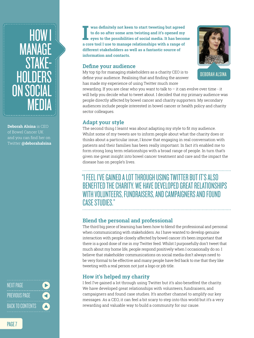### <span id="page-6-0"></span>HOW I MANAGE **STAK HOLDERS** ON SOCIAL MEDIA

**Deborah Alsina** is CEO of Bowel Cancer UK and you can find her on Twitter **@deborahalsina**

NEXT PAGE<br>-------------------<br>PREVIOUS PAGE<br>-------------------<br>BACK TO CONTENTS

**I** was definitely not keen to start tweeting but agreed to do so after some arm twisting and it's opened my eyes to the possibilities of social media. It has become a core tool I use to manage relationships with a range o **was definitely not keen to start tweeting but agreed to do so after some arm twisting and it's opened my eyes to the possibilities of social media. It has become different stakeholders as well as a fantastic source of information and contacts.**

#### **Define your audience**

My top tip for managing stakeholders as a charity CEO is to define your audience. Realising that and finding the answer has made my experience of using Twitter much more

rewarding. If you are clear who you want to talk to  $-$  it can evolve over time - it will help you decide what to tweet about. I decided that my primary audience was people directly affected by bowel cancer and charity supporters. My secondary audiences include people interested in bowel cancer or health policy and charity sector colleagues.

#### **Adapt your style**

The second thing I learnt was about adapting my style to fit my audience. Whilst some of my tweets are to inform people about what the charity does or thinks about a particular issue, I know that engaging in real conversation with patients and their families has been really important. In fact it's enabled me to form strong long term relationships with a broad range of people. In turn that's given me great insight into bowel cancer treatment and care and the impact the disease has on people's lives.

#### "I FEEL I'VE GAINED A LOT THROUGH USING TWITTER BUT IT'S ALSO BENEFITED THE CHARITY. WE HAVE DEVELOPED GREAT RELATIONSHIPS WITH VOLUNTEERS, FUNDRAISERS, AND CAMPAIGNERS AND FOUND CASE STUDIES."

#### **Blend the personal and professional**

The third big piece of learning has been how to blend the professional and personal when communicating with stakeholders. As I have wanted to develop genuine interaction with people closely affected by bowel cancer it's been important that there is a good dose of me in my Twitter feed. Whilst I purposefully don't tweet that much about my home life, people respond positively when I occasionally do so. I believe that stakeholder communications on social media don't always need to be very formal to be effective and many people have fed back to me that they like tweeting with a real person not just a logo or job title.

#### **How it's helped my charity**

I feel I've gained a lot through using Twitter but it's also benefited the charity. We have developed great relationships with volunteers, fundraisers, and campaigners and found case studies. It's another channel to amplify our key messages. As a CEO, it can feel a bit scary to step into this world but it's a very rewarding and valuable way to build a community for our cause.

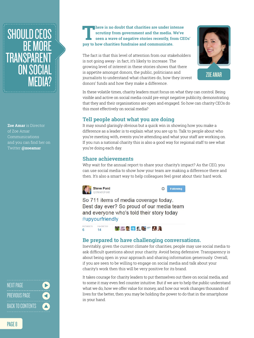### <span id="page-7-0"></span>SHOULD CEOS BE MORE **TRANSPARENT** ON SOCIAL<br>MEDIA?

**Zoe Amar** is Director of Zoe Amar Communications and you can find her on Twitter **@zoeamar**

NEXT PAGE<br>-------------------<br>PREVIOUS PAGE<br>-------------------<br>BACK TO CONTENTS

PAGE 8

#### **There is no doubt that charities are under intense scrutiny from government and the media. We've seen a wave of negative stories recently, from CEOs' pay to how charities fundraise and communicate.**

The fact is that this level of attention from our stakeholders is not going away- in fact, it's likely to increase. The growing level of interest in these stories shows that there is appetite amongst donors, the public, politicians and journalists to understand what charities do, how they invest donors' funds and how they make a difference. EDIA?<br>MEDIA?<br>MEDIA?<br>MEDIA?<br>MEDIA?



In these volatile times, charity leaders must focus on what they can control. Being visible and active on social media could pre-empt negative publicity, demonstrating that they and their organisations are open and engaged. So how can charity CEOs do this most effectively on social media?

#### **Tell people about what you are doing**

It may sound glaringly obvious but a quick win in showing how you make a difference as a leader is to explain what you are up to. Talk to people about who you're meeting with, events you're attending and what your staff are working on. If you run a national charity this is also a good way for regional staff to see what you're doing each day.

#### **Share achievements**

Why wait for the annual report to share your charity's impact? As the CEO, you can use social media to show how your team are making a difference there and then. It's also a smart way to help colleagues feel great about their hard work.



Following

So 711 items of media coverage today. Best day ever? So proud of our media team and everyone who's told their story today #upyourfriendly



#### **Be prepared to have challenging conversations.**

Inevitably, given the current climate for charities, people may use social media to ask difficult questions about your charity. Avoid being defensive. Transparency is about being open in your approach and sharing information generously. Overall, if you are seen to be willing to engage on social media and talk about your charity's work then this will be very positive for its brand.

It takes courage for charity leaders to put themselves out there on social media, and to some it may even feel counter intuitive. But if we are to help the public understand what we do, how we offer value for money, and how our work changes thousands of lives for the better, then you may be holding the power to do that in the smartphone in your hand.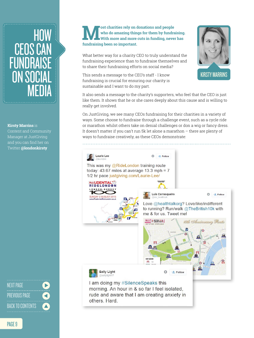### <span id="page-8-0"></span>HOW CEOS CAN FUNDRA ON SOCI MEDIA

**Kirsty Marrins** is

Content and Community Manager at JustGiving and you can find her on Twitter **@londonkirsty**

NEXT PAGE<br>-------------------<br>PREVIOUS PAGE<br>-------------------<br>BACK TO CONTENTS

**Most charities rely on donations and people who do amazing things for them by fundraising. With more and more cuts in funding, never has fundraising been so important.** 

What better way for a charity CEO to truly understand the fundraising experience than to fundraise themselves and to share their fundraising efforts on social media?

This sends a message to the CEO's staff - I know fundraising is crucial for ensuring our charity is sustainable and I want to do my part.

It also sends a message to the charity's supporters, who feel that the CEO is just like them. It shows that he or she cares deeply about this cause and is willing to really get involved.

On JustGiving, we see many CEOs fundraising for their charities in a variety of ways. Some choose to fundraise through a challenge event, such as a cycle ride or marathon whilst others take on denial challenges or don a wig or fancy dress. It doesn't matter if you can't run 5k let alone a marathon – there are plenty of ways to fundraise creatively, as these CEOs demonstrate:

**Laurie Lee Q** + Pollow This was my @RideLondon training route today: 43.67 miles at average 13.3 mph =  $7$ 1/2 hr pace justgiving.com/Laurie-Lee/ **UDENTIAL**\* **RIDELONDON** Luís Carrasqueiro ☆ · Follow SUNDAY 2 AUGUST 2015 Love @healthtalkorg? Love/like/indifferent to running? Run/walk @TheBritish10k with me & for us. Tweet me! Pin It SRITISH ION BU **BIG STRUCKSCOM**  $\underline{\mathbf{m}}$ MAP LEGEND 罪 **Sally Light** ö **E** Follow @sallylight17 I am doing my #SilenceSpeaks this morning. An hour in & so far I feel isolated, rude and aware that I am creating anxiety in others, Hard.

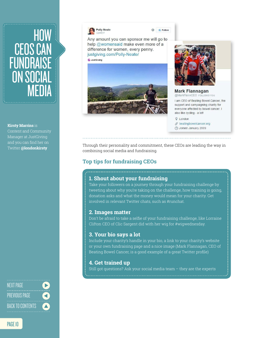### HOW CEOS CAN FUNDRAISE ON SOCIAL MEDIA

#### **Kirsty Marrins** is

Content and Community Manager at JustGiving and you can find her on Twitter **@londonkirsty**

NEXT PAGE<br>------------------<br>PREVIOUS PAGE<br>-------------------<br>BACK TO CONTENTS

**Polly Neate** 

 $+$ **6** Follow  $\mathcal{M}_{\mathbf{r}}$ 

Any amount you can sponsor me will go to help @womensaid make even more of a difference for women, every penny. justgiving.com/Polly-Neate/ **G** JustGiving





**Mark Flannagan** @MarkFlannCEO FOLLOWS YOU

I am CEO of Beating Bowel Cancer, the support and campaigning charity for everyone affected by bowel cancer. I also like cycling - a lot!

**Q** London  $\mathscr{S}$  beatingbowelcancer.org → Joined January 2009

Through their personality and commitment, these CEOs are leading the way in combining social media and fundraising.

#### **Top tips for fundraising CEOs**

#### **1. Shout about your fundraising**

Take your followers on a journey through your fundraising challenge by tweeting about why you're taking on the challenge, how training is going, donation asks and what the money would mean for your charity. Get involved in relevant Twitter chats, such as #runchat.

#### **2. Images matter**

Don't be afraid to take a selfie of your fundraising challenge, like Lorraine Clifton CEO of Clic Sargent did with her wig for #wigwednesday.

#### **3. Your bio says a lot**

Include your charity's handle in your bio, a link to your charity's website or your own fundraising page and a nice image (Mark Flannagan, CEO of Beating Bowel Cancer, is a good example of a great Twitter profile)

#### **4. Get trained up**

Still got questions? Ask your social media team – they are the experts

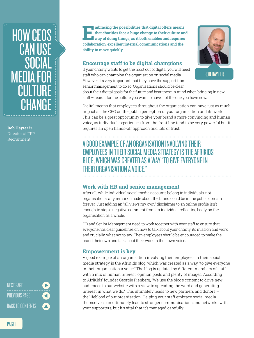### <span id="page-10-0"></span>HOW CEOS **CAN USE** SOCIAL MEDIA FOR CULTURE CHANGE

**Rob Hayter** is Director at TPP Recruitment

NEXT PAGE<br>-------------------<br>PREVIOUS PAGE<br>-------------------<br>BACK TO CONTENTS

PAGE 11

**Embracing the possibilities that digital offers means that charities face a huge change to their culture and way of doing things, as it both enables and requires collaboration, excellent internal communications and the ability to move quickly.** 

#### **Encourage staff to be digital champions**

If your charity wants to get the most out of digital you will need staff who can champion the organisation on social media. However, it's very important that they have the support from senior management to do so. Organisations should be clear



about their digital goals for the future and bear these in mind when bringing in new staff – recruit for the culture you want to have, not the one you have now.

Digital means that employees throughout the organisation can have just as much impact as the CEO on the public perception of your organisation and its work. This can be a great opportunity to give your brand a more convincing and human voice, as individual experiences from the front line tend to be very powerful but it requires an open hands-off approach and lots of trust.

#### A GOOD EXAMPLE OF AN ORGANISATION INVOLVING THEIR EMPLOYEES IN THEIR SOCIAL MEDIA STRATEGY IS THE AFRIKIDS BLOG, WHICH WAS CREATED AS A WAY "TO GIVE EVERYONE IN THEIR ORGANISATION A VOICE."

#### **Work with HR and senior management**

After all, while individual social media accounts belong to individuals, not organisations, any remarks made about the brand could be in the public domain forever. Just adding an "all views my own" disclaimer to an online profile isn't enough to stop a negative comment from an individual reflecting badly on the organisation as a whole.

HR and Senior Management need to work together with your staff to ensure that everyone has clear guidelines on how to talk about your charity, its mission and work, and crucially, what not to say. Then employees should be encouraged to make the brand their own and talk about their work in their own voice.

#### **Empowerment is key**

A good example of an organisation involving their employees in their social media strategy is the AfriKids blog, which was created as a way "to give everyone in their organisation a voice." The blog is updated by different members of staff with a mix of human interest, opinion posts and plenty of images. According to AfriKids' founder Georgie Fienberg, "We use the blog's content to drive new audiences to our website with a view to spreading the word and generating interest in what we do." This ultimately leads to new partners and donors – the lifeblood of our organisation. Helping your staff embrace social media themselves can ultimately lead to stronger communications and networks with your supporters, but it's vital that it's managed carefully.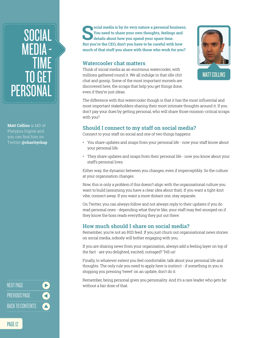### <span id="page-11-0"></span>SOCIAL **MEDI** TIME TO GF PERSONAL

**Matt Collins** is MD of Platypus Digital and you can find him on Twitter **@charitychap** 

NEXT PAGE<br>-------------------<br>PREVIOUS PAGE<br>-------------------<br>BACK TO CONTENTS

PAGE 12

**Social media is by its very nature a personal business.**<br> **Social media is about how you spend your spare time.**<br>
But you're the CEO don't you have to be eareful with how **You need to share your own thoughts, feelings and details about how you spend your spare time. But you're the CEO, don't you have to be careful with how much of that stuff you share with those who work for you?**

#### **Watercooler chat matters**

Think of social media as an enormous watercooler, with millions gathered round it. We all indulge in that idle chit chat and gossip. Some of the most important morsels are discovered here, the scraps that help you get things done, even if they're just ideas.



The difference with this watercooler though is that it has the most influential and most important stakeholders sharing their most intimate thoughts around it. If you don't pay your dues by getting personal, who will share those mission-critical scraps with you?

#### **Should I connect to my staff on social media?**

Connect to your staff on social and one of two things happens:

- You share updates and snaps from your personal life now your staff know about your personal life.
- They share updates and snaps from their personal life now you know about your staff's personal lives.

Either way, the dynamic between you changes, even if imperceptibly. So the culture at your organisation changes.

Now, this is only a problem if this doesn't align with the organisational culture you want to build (assuming you have a clear idea about that). If you want a tight-knit vibe, connect away. If you want a more distant one, stay separate.

On Twitter, you can always follow and not always reply to their updates if you do read personal ones - depending what they're like, your staff may feel snooped on if they know the boss reads everything they put out there.

#### **How much should I share on social media?**

Remember, you're not an RSS feed. If you just churn out organisational news stories on social media, nobody will bother engaging with you.

If you are sharing news from your organisation, always add a feeling layer on top of the fact - are you delighted, excited, outraged? Tell us!

Finally, to whatever extent you feel comfortable, talk about your personal life and thoughts. The only rule you need to apply here is instinct - if something in you is stopping you pressing 'tweet' on an update, don't do it.

Remember, being personal gives you personality. And it's a rare leader who gets far without a fair dose of that.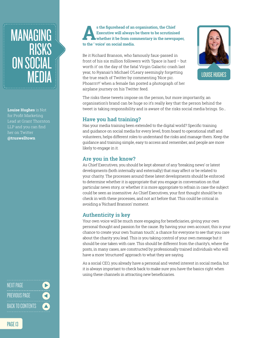### <span id="page-12-0"></span>MANAGING **RISKS** ON SOCIAL MEDIA

**Louise Hughes** is Not for Profit Marketing Lead at Grant Thornton LLP and you can find her on Twitter **@truswelltown**

NEXT PAGE<br>-------------------<br>PREVIOUS PAGE<br>-------------------<br>BACK TO CONTENTS

#### **As the figurehead of an organisation, the Chief Executive will always be there to be scrutinised whether it be from commentary in the newspaper, to the ' voice' on social media.**

Be it Richard Branson, who famously faux-passed in front of his six million followers with 'Space is hard – but worth it' on the day of the fatal Virgin Galactic crash last year, to Ryanair's Michael O'Leary seemingly forgetting the true reach of Twitter by commenting 'Nice pic. Phoarrrr!!' when a female fan posted a photograph of her airplane journey on his Twitter feed.



The risks these tweets impose on the person, but more importantly, an organisation's brand can be huge so it's really key that the person behind the tweet is taking responsibility and is aware of the risks social media brings. So…

#### **Have you had training?**

Has your media training been extended to the digital world? Specific training and guidance on social media for every level, from board to operational staff and volunteers, helps different roles to understand the risks and manage them. Keep the guidance and training simple, easy to access and remember, and people are more likely to engage in it.

#### **Are you in the know?**

As Chief Executives, you should be kept abreast of any 'breaking news' or latest developments (both internally and externally) that may affect or be related to your charity. The processes around these latest developments should be enforced to determine whether it is appropriate that you engage in conversation on that particular news story, or whether it is more appropriate to refrain in case the subject could be seen as insensitive. As Chief Executives, your first thought should be to check in with these processes, and not act before that. This could be critical in avoiding a 'Richard Branson' moment.

#### **Authenticity is key**

Your own voice will be much more engaging for beneficiaries, giving your own personal thought and passion for the cause. By having your own account, this is your chance to create your own 'human touch', a chance for everyone to see that you care about the charity you lead. This is you taking control of your own message but it should be one taken with care. This should be different from the charity's, where the posts, in many cases, are constructed by professionally trained individuals who will have a more 'structured' approach to what they are saying.

As a social CEO, you already have a personal and vested interest in social media, but it is always important to check back to make sure you have the basics right when using these channels in attracting new beneficiaries.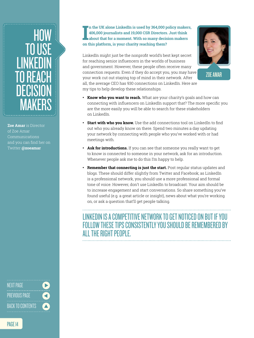### <span id="page-13-0"></span>HOW TO USE LINKEDIN TO REACH DECISION MAKERS

**Zoe Amar** is Director of Zoe Amar Communications and you can find her on Twitter **@zoeamar**

NEXT PAGE<br>-------------------<br>PREVIOUS PAGE<br>-------------------<br>BACK TO CONTENTS

II is used by 364,000 p<br>406,000 journalists and 19,000 CSR Directors<br>about that for a moment. With so many decise<br>on this platform, is your charity reaching them? **n the UK alone LinkedIn is used by 364,000 policy makers, 406,000 journalists and 19,000 CSR Directors. Just think about that for a moment. With so many decision makers** 

LinkedIn might just be the nonprofit world's best kept secret for reaching senior influencers in the worlds of business and government. However, these people often receive many connection requests. Even if they do accept you, you may have your work cut out staying top of mind in their network. After all, the average CEO has 930 connections on LinkedIn. Here are my tips to help develop these relationships.



- **Know who you want to reach.** What are your charity's goals and how can connecting with influencers on LinkedIn support that? The more specific you are the more easily you will be able to search for these stakeholders on LinkedIn.
- **Start with who you know.** Use the add connections tool on LinkedIn to find out who you already know on there. Spend two minutes a day updating your network by connecting with people who you've worked with or had meetings with.
- **Ask for introductions.** If you can see that someone you really want to get to know is connected to someone in your network, ask for an introduction. Whenever people ask me to do this I'm happy to help.
- **Remember that connecting is just the start.** Post regular status updates and blogs. These should differ slightly from Twitter and Facebook; as LinkedIn is a professional network, you should use a more professional and formal tone of voice. However, don't use LinkedIn to broadcast. Your aim should be to increase engagement and start conversations. So share something you've found useful (e.g. a great article or insight), news about what you're working on, or ask a question that'll get people talking.

### LINKEDIN IS A COMPETITIVE NETWORK TO GET NOTICED ON BUT IF YOU FOLLOW THESE TIPS CONSISTENTLY YOU SHOULD BE REMEMBERED BY ALL THE RIGHT PEOPLE.

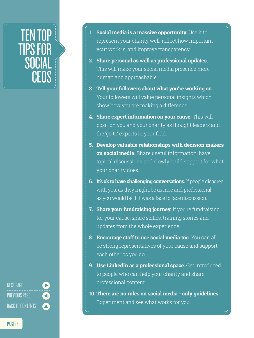### <span id="page-14-0"></span>TEN TOP TIPS FOR **SOCIAL** CEOS

NEXT PAGE<br>--------------------<br>PREVIOUS PAGE<br>--------------------<br>BACK TO CONTENTS

**1. Social media is a massive opportunity.** Use it to represent your charity well, reflect how important your work is, and improve transparency.

- **2. Share personal as well as professional updates.** This will make your social media presence more human and approachable.
- **3. Tell your followers about what you're working on.**  Your followers will value personal insights which show how you are making a difference.
- **4. Share expert information on your cause.** This will position you and your charity as thought leaders and the 'go to' experts in your field.
- **5. Develop valuable relationships with decision makers on social media.** Share useful information, have topical discussions and slowly build support for what your charity does.
- **6. It's ok to have challenging conversations.** If people disagree with you, as they might, be as nice and professional as you would be if it was a face to face discussion.
- **7. Share your fundraising journey.** If you're fundraising for your cause, share selfies, training stories and updates from the whole experience.
- **8. Encourage staff to use social media too.** You can all be strong representatives of your cause and support each other as you do.
- **9. Use LinkedIn as a professional space.** Get introduced to people who can help your charity and share professional content.
- **10. There are no rules on social media only guidelines.** Experiment and see what works for you.

PAGE 15